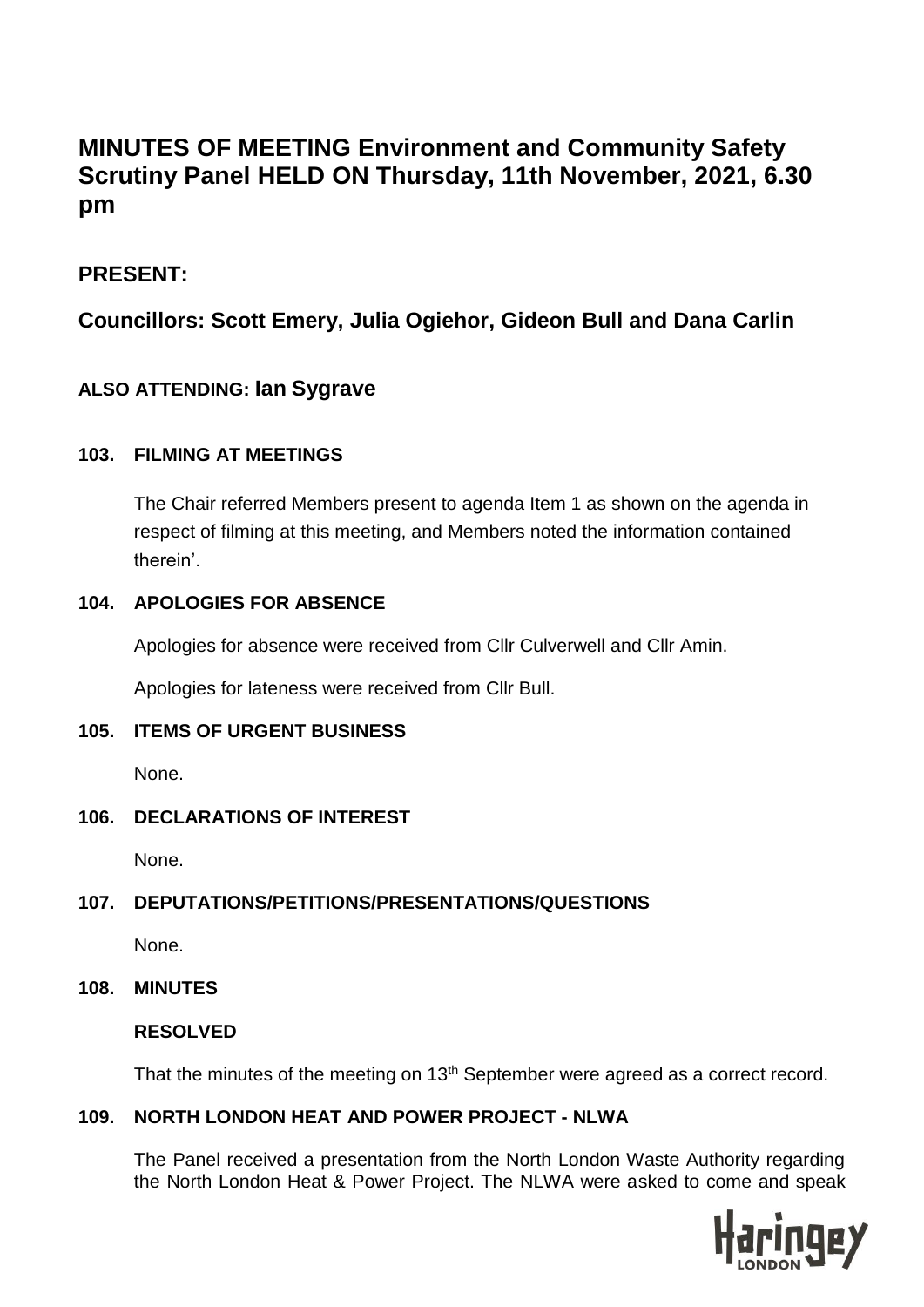# **MINUTES OF MEETING Environment and Community Safety Scrutiny Panel HELD ON Thursday, 11th November, 2021, 6.30 pm**

# **PRESENT:**

# **Councillors: Scott Emery, Julia Ogiehor, Gideon Bull and Dana Carlin**

# **ALSO ATTENDING: Ian Sygrave**

# **103. FILMING AT MEETINGS**

The Chair referred Members present to agenda Item 1 as shown on the agenda in respect of filming at this meeting, and Members noted the information contained therein'.

# **104. APOLOGIES FOR ABSENCE**

Apologies for absence were received from Cllr Culverwell and Cllr Amin.

Apologies for lateness were received from Cllr Bull.

# **105. ITEMS OF URGENT BUSINESS**

None.

# **106. DECLARATIONS OF INTEREST**

None.

# **107. DEPUTATIONS/PETITIONS/PRESENTATIONS/QUESTIONS**

None.

# **108. MINUTES**

# **RESOLVED**

That the minutes of the meeting on 13<sup>th</sup> September were agreed as a correct record.

# **109. NORTH LONDON HEAT AND POWER PROJECT - NLWA**

The Panel received a presentation from the North London Waste Authority regarding the North London Heat & Power Project. The NLWA were asked to come and speak

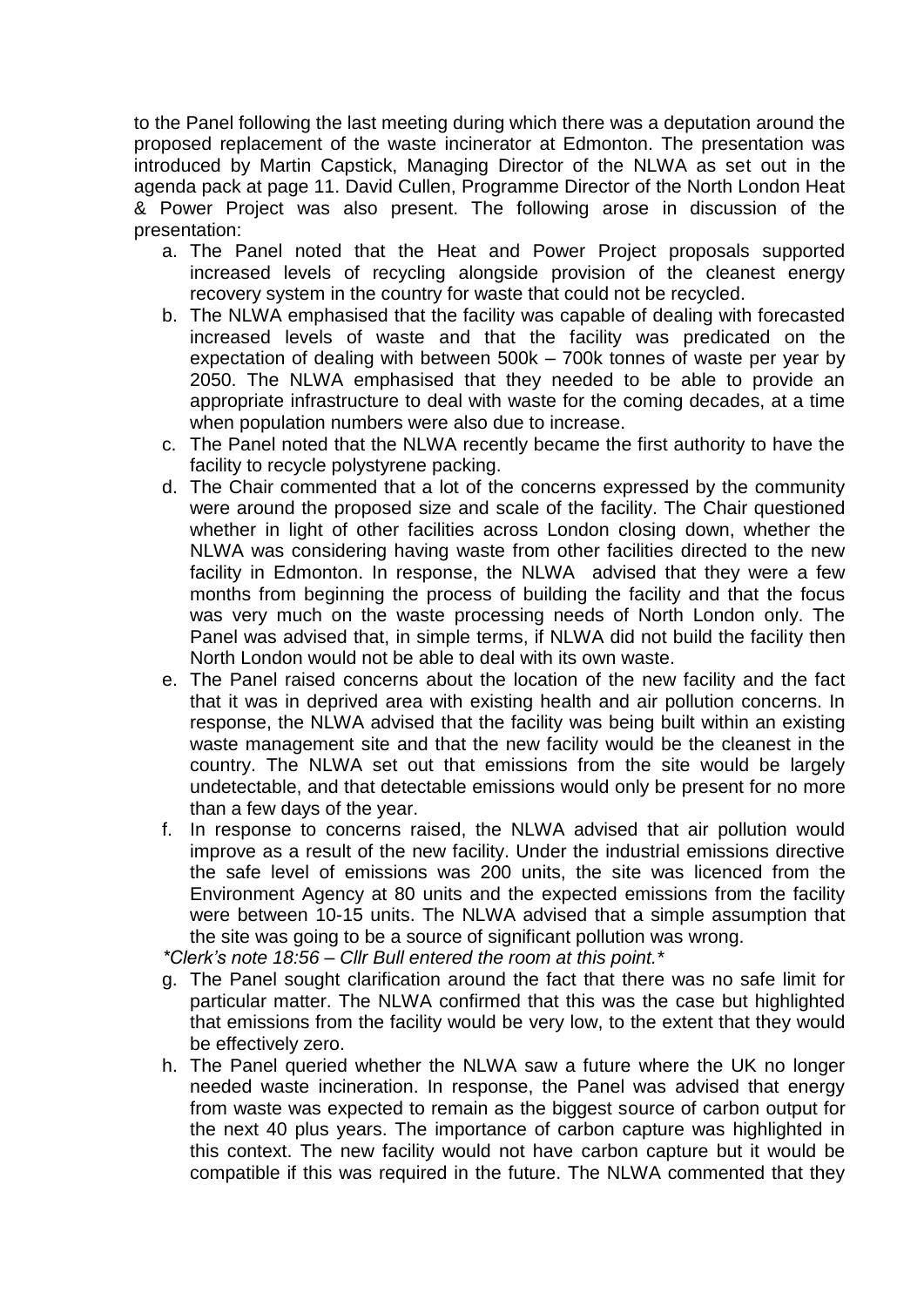to the Panel following the last meeting during which there was a deputation around the proposed replacement of the waste incinerator at Edmonton. The presentation was introduced by Martin Capstick, Managing Director of the NLWA as set out in the agenda pack at page 11. David Cullen, Programme Director of the North London Heat & Power Project was also present. The following arose in discussion of the presentation:

- a. The Panel noted that the Heat and Power Project proposals supported increased levels of recycling alongside provision of the cleanest energy recovery system in the country for waste that could not be recycled.
- b. The NLWA emphasised that the facility was capable of dealing with forecasted increased levels of waste and that the facility was predicated on the expectation of dealing with between 500k – 700k tonnes of waste per year by 2050. The NLWA emphasised that they needed to be able to provide an appropriate infrastructure to deal with waste for the coming decades, at a time when population numbers were also due to increase.
- c. The Panel noted that the NLWA recently became the first authority to have the facility to recycle polystyrene packing.
- d. The Chair commented that a lot of the concerns expressed by the community were around the proposed size and scale of the facility. The Chair questioned whether in light of other facilities across London closing down, whether the NLWA was considering having waste from other facilities directed to the new facility in Edmonton. In response, the NLWA advised that they were a few months from beginning the process of building the facility and that the focus was very much on the waste processing needs of North London only. The Panel was advised that, in simple terms, if NLWA did not build the facility then North London would not be able to deal with its own waste.
- e. The Panel raised concerns about the location of the new facility and the fact that it was in deprived area with existing health and air pollution concerns. In response, the NLWA advised that the facility was being built within an existing waste management site and that the new facility would be the cleanest in the country. The NLWA set out that emissions from the site would be largely undetectable, and that detectable emissions would only be present for no more than a few days of the year.
- f. In response to concerns raised, the NLWA advised that air pollution would improve as a result of the new facility. Under the industrial emissions directive the safe level of emissions was 200 units, the site was licenced from the Environment Agency at 80 units and the expected emissions from the facility were between 10-15 units. The NLWA advised that a simple assumption that the site was going to be a source of significant pollution was wrong.

*\*Clerk's note 18:56 – Cllr Bull entered the room at this point.\** 

- g. The Panel sought clarification around the fact that there was no safe limit for particular matter. The NLWA confirmed that this was the case but highlighted that emissions from the facility would be very low, to the extent that they would be effectively zero.
- h. The Panel queried whether the NLWA saw a future where the UK no longer needed waste incineration. In response, the Panel was advised that energy from waste was expected to remain as the biggest source of carbon output for the next 40 plus years. The importance of carbon capture was highlighted in this context. The new facility would not have carbon capture but it would be compatible if this was required in the future. The NLWA commented that they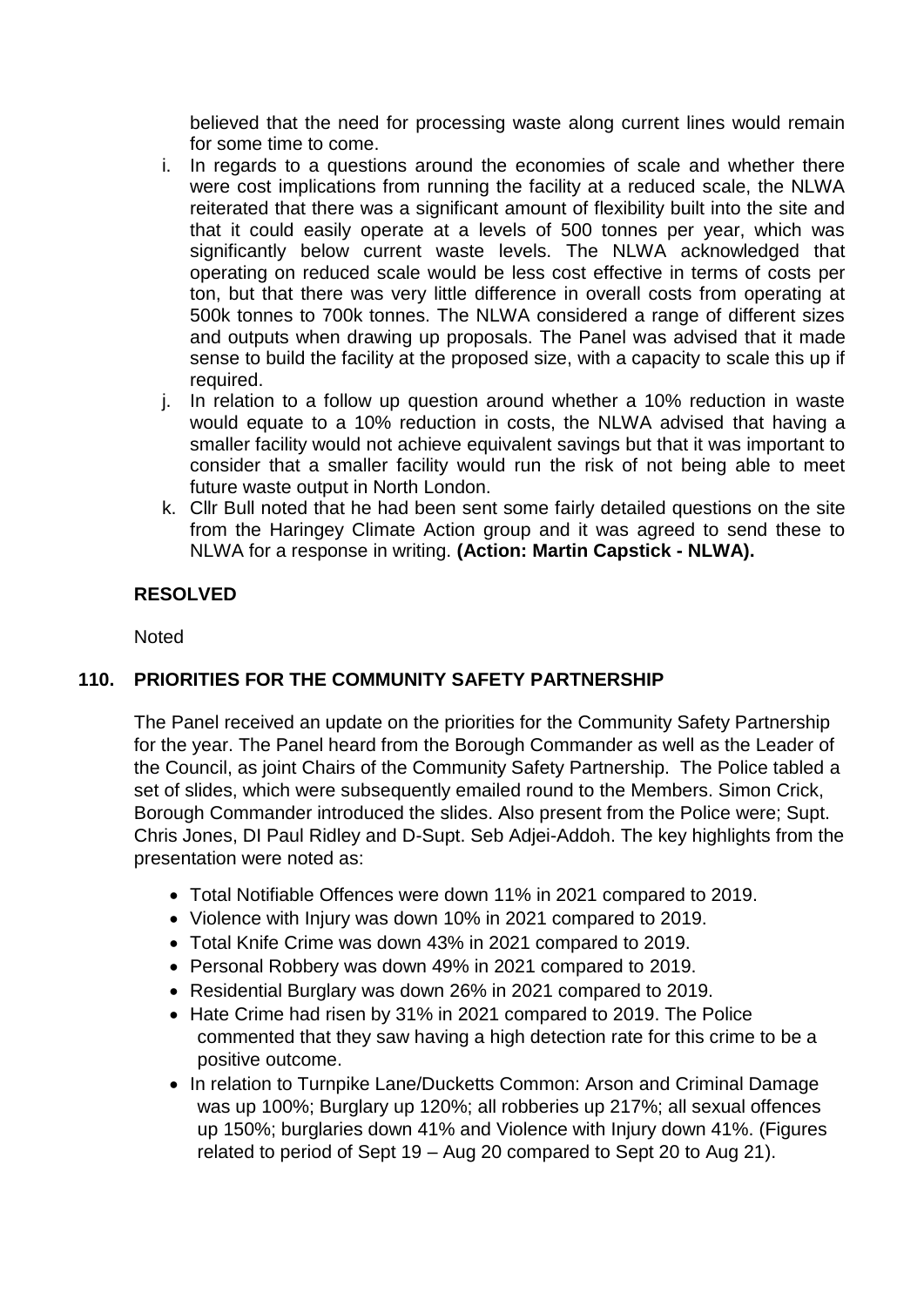believed that the need for processing waste along current lines would remain for some time to come.

- i. In regards to a questions around the economies of scale and whether there were cost implications from running the facility at a reduced scale, the NLWA reiterated that there was a significant amount of flexibility built into the site and that it could easily operate at a levels of 500 tonnes per year, which was significantly below current waste levels. The NLWA acknowledged that operating on reduced scale would be less cost effective in terms of costs per ton, but that there was very little difference in overall costs from operating at 500k tonnes to 700k tonnes. The NLWA considered a range of different sizes and outputs when drawing up proposals. The Panel was advised that it made sense to build the facility at the proposed size, with a capacity to scale this up if required.
- j. In relation to a follow up question around whether a 10% reduction in waste would equate to a 10% reduction in costs, the NLWA advised that having a smaller facility would not achieve equivalent savings but that it was important to consider that a smaller facility would run the risk of not being able to meet future waste output in North London.
- k. Cllr Bull noted that he had been sent some fairly detailed questions on the site from the Haringey Climate Action group and it was agreed to send these to NLWA for a response in writing. **(Action: Martin Capstick - NLWA).**

# **RESOLVED**

**Noted** 

# **110. PRIORITIES FOR THE COMMUNITY SAFETY PARTNERSHIP**

The Panel received an update on the priorities for the Community Safety Partnership for the year. The Panel heard from the Borough Commander as well as the Leader of the Council, as joint Chairs of the Community Safety Partnership. The Police tabled a set of slides, which were subsequently emailed round to the Members. Simon Crick, Borough Commander introduced the slides. Also present from the Police were; Supt. Chris Jones, DI Paul Ridley and D-Supt. Seb Adjei-Addoh. The key highlights from the presentation were noted as:

- Total Notifiable Offences were down 11% in 2021 compared to 2019.
- Violence with Injury was down 10% in 2021 compared to 2019.
- Total Knife Crime was down 43% in 2021 compared to 2019.
- Personal Robbery was down 49% in 2021 compared to 2019.
- Residential Burglary was down 26% in 2021 compared to 2019.
- Hate Crime had risen by 31% in 2021 compared to 2019. The Police commented that they saw having a high detection rate for this crime to be a positive outcome.
- In relation to Turnpike Lane/Ducketts Common: Arson and Criminal Damage was up 100%; Burglary up 120%; all robberies up 217%; all sexual offences up 150%; burglaries down 41% and Violence with Injury down 41%. (Figures related to period of Sept 19 – Aug 20 compared to Sept 20 to Aug 21).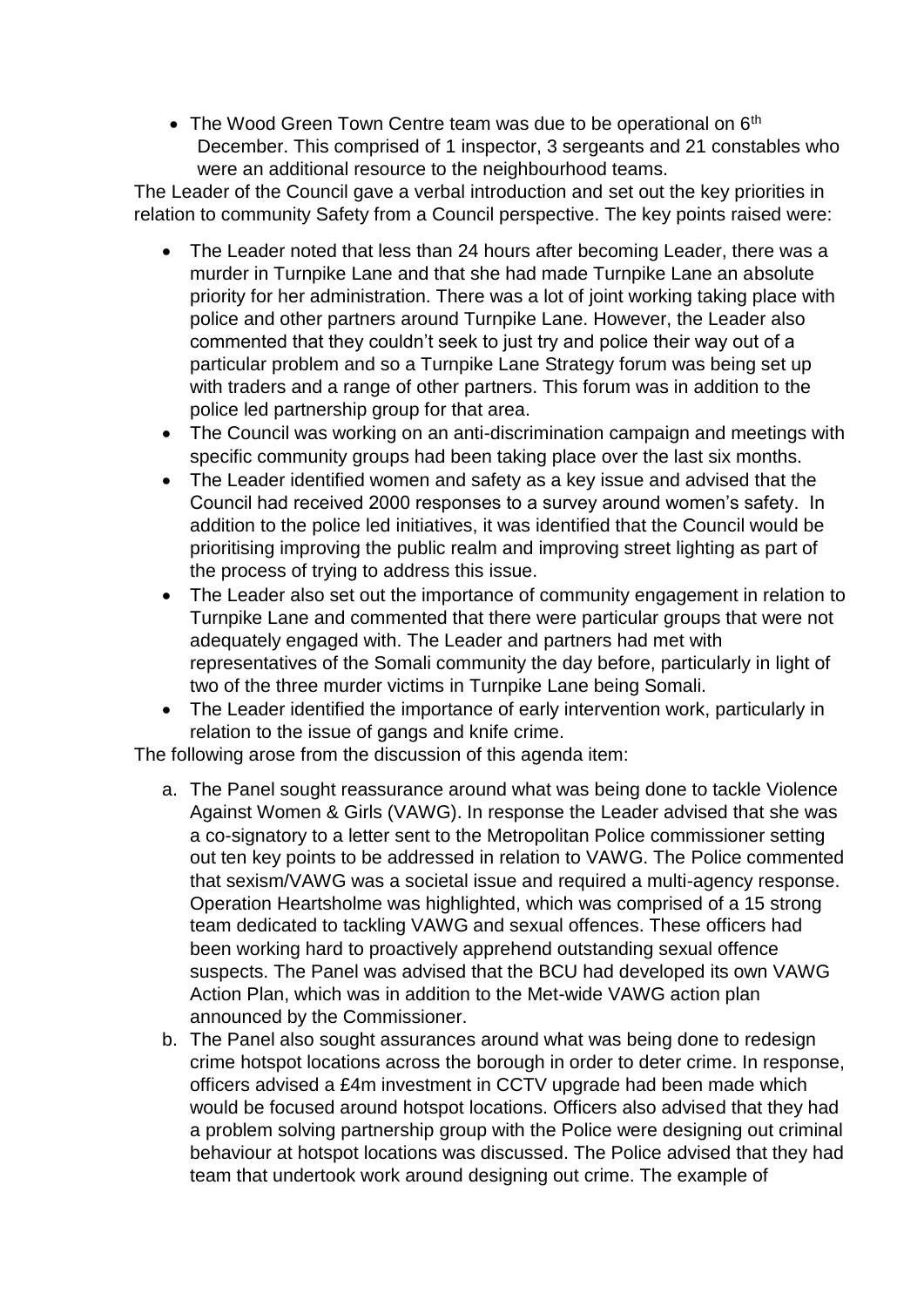• The Wood Green Town Centre team was due to be operational on 6<sup>th</sup> December. This comprised of 1 inspector, 3 sergeants and 21 constables who were an additional resource to the neighbourhood teams.

The Leader of the Council gave a verbal introduction and set out the key priorities in relation to community Safety from a Council perspective. The key points raised were:

- The Leader noted that less than 24 hours after becoming Leader, there was a murder in Turnpike Lane and that she had made Turnpike Lane an absolute priority for her administration. There was a lot of joint working taking place with police and other partners around Turnpike Lane. However, the Leader also commented that they couldn't seek to just try and police their way out of a particular problem and so a Turnpike Lane Strategy forum was being set up with traders and a range of other partners. This forum was in addition to the police led partnership group for that area.
- The Council was working on an anti-discrimination campaign and meetings with specific community groups had been taking place over the last six months.
- The Leader identified women and safety as a key issue and advised that the Council had received 2000 responses to a survey around women's safety. In addition to the police led initiatives, it was identified that the Council would be prioritising improving the public realm and improving street lighting as part of the process of trying to address this issue.
- The Leader also set out the importance of community engagement in relation to Turnpike Lane and commented that there were particular groups that were not adequately engaged with. The Leader and partners had met with representatives of the Somali community the day before, particularly in light of two of the three murder victims in Turnpike Lane being Somali.
- The Leader identified the importance of early intervention work, particularly in relation to the issue of gangs and knife crime.

The following arose from the discussion of this agenda item:

- a. The Panel sought reassurance around what was being done to tackle Violence Against Women & Girls (VAWG). In response the Leader advised that she was a co-signatory to a letter sent to the Metropolitan Police commissioner setting out ten key points to be addressed in relation to VAWG. The Police commented that sexism/VAWG was a societal issue and required a multi-agency response. Operation Heartsholme was highlighted, which was comprised of a 15 strong team dedicated to tackling VAWG and sexual offences. These officers had been working hard to proactively apprehend outstanding sexual offence suspects. The Panel was advised that the BCU had developed its own VAWG Action Plan, which was in addition to the Met-wide VAWG action plan announced by the Commissioner.
- b. The Panel also sought assurances around what was being done to redesign crime hotspot locations across the borough in order to deter crime. In response, officers advised a £4m investment in CCTV upgrade had been made which would be focused around hotspot locations. Officers also advised that they had a problem solving partnership group with the Police were designing out criminal behaviour at hotspot locations was discussed. The Police advised that they had team that undertook work around designing out crime. The example of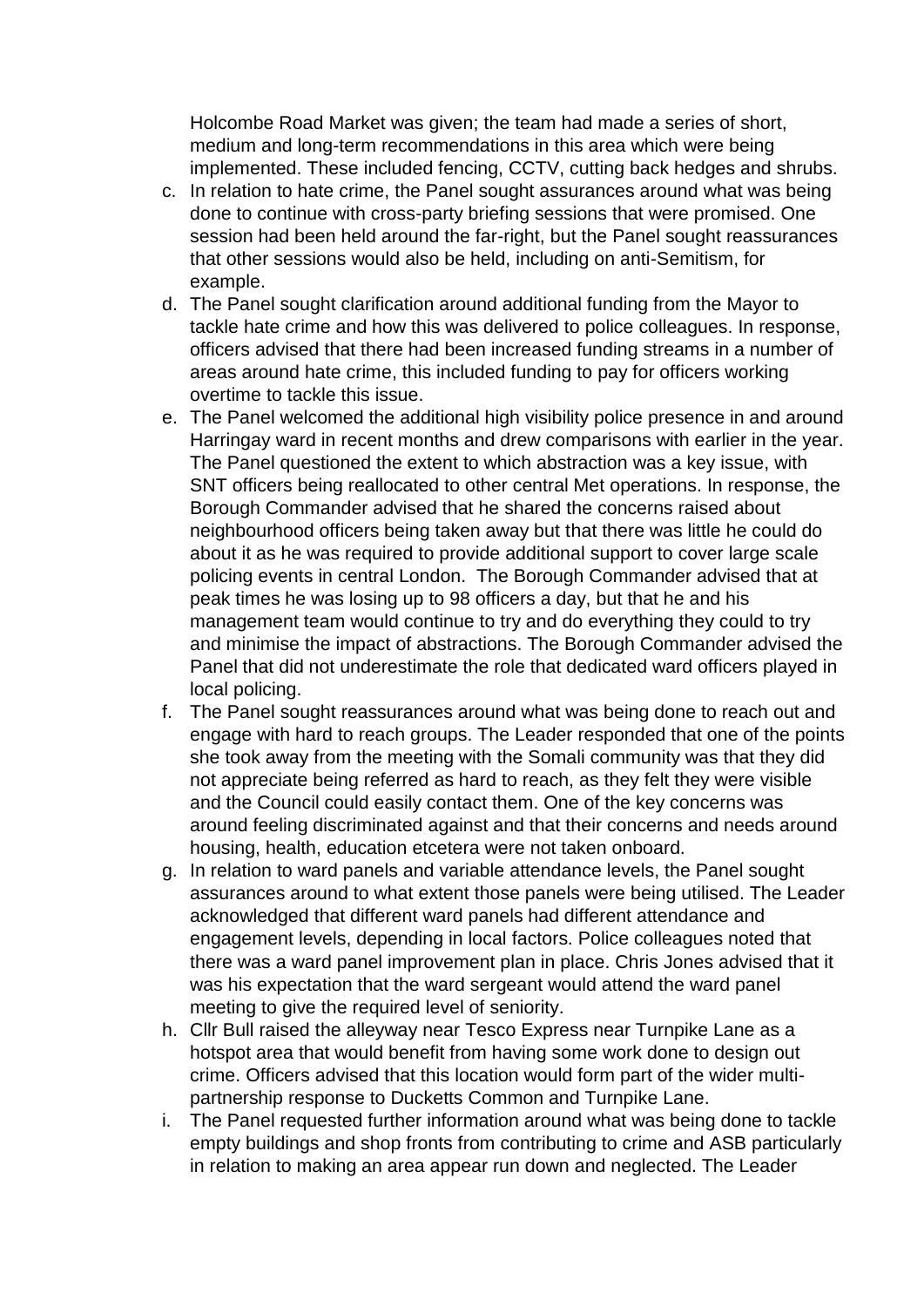Holcombe Road Market was given; the team had made a series of short, medium and long-term recommendations in this area which were being implemented. These included fencing, CCTV, cutting back hedges and shrubs.

- c. In relation to hate crime, the Panel sought assurances around what was being done to continue with cross-party briefing sessions that were promised. One session had been held around the far-right, but the Panel sought reassurances that other sessions would also be held, including on anti-Semitism, for example.
- d. The Panel sought clarification around additional funding from the Mayor to tackle hate crime and how this was delivered to police colleagues. In response, officers advised that there had been increased funding streams in a number of areas around hate crime, this included funding to pay for officers working overtime to tackle this issue.
- e. The Panel welcomed the additional high visibility police presence in and around Harringay ward in recent months and drew comparisons with earlier in the year. The Panel questioned the extent to which abstraction was a key issue, with SNT officers being reallocated to other central Met operations. In response, the Borough Commander advised that he shared the concerns raised about neighbourhood officers being taken away but that there was little he could do about it as he was required to provide additional support to cover large scale policing events in central London. The Borough Commander advised that at peak times he was losing up to 98 officers a day, but that he and his management team would continue to try and do everything they could to try and minimise the impact of abstractions. The Borough Commander advised the Panel that did not underestimate the role that dedicated ward officers played in local policing.
- f. The Panel sought reassurances around what was being done to reach out and engage with hard to reach groups. The Leader responded that one of the points she took away from the meeting with the Somali community was that they did not appreciate being referred as hard to reach, as they felt they were visible and the Council could easily contact them. One of the key concerns was around feeling discriminated against and that their concerns and needs around housing, health, education etcetera were not taken onboard.
- g. In relation to ward panels and variable attendance levels, the Panel sought assurances around to what extent those panels were being utilised. The Leader acknowledged that different ward panels had different attendance and engagement levels, depending in local factors. Police colleagues noted that there was a ward panel improvement plan in place. Chris Jones advised that it was his expectation that the ward sergeant would attend the ward panel meeting to give the required level of seniority.
- h. Cllr Bull raised the alleyway near Tesco Express near Turnpike Lane as a hotspot area that would benefit from having some work done to design out crime. Officers advised that this location would form part of the wider multipartnership response to Ducketts Common and Turnpike Lane.
- i. The Panel requested further information around what was being done to tackle empty buildings and shop fronts from contributing to crime and ASB particularly in relation to making an area appear run down and neglected. The Leader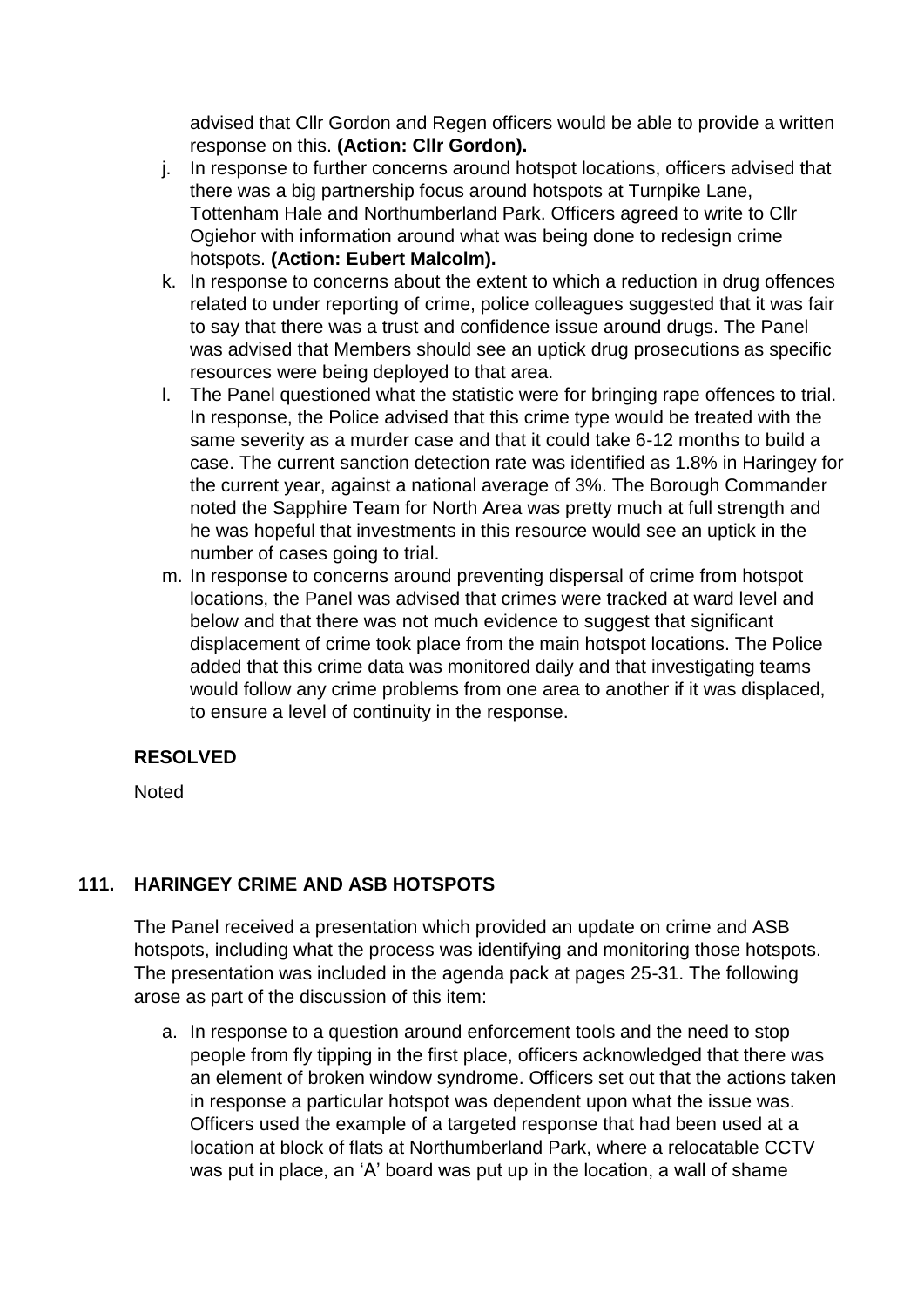advised that Cllr Gordon and Regen officers would be able to provide a written response on this. **(Action: Cllr Gordon).**

- j. In response to further concerns around hotspot locations, officers advised that there was a big partnership focus around hotspots at Turnpike Lane, Tottenham Hale and Northumberland Park. Officers agreed to write to Cllr Ogiehor with information around what was being done to redesign crime hotspots. **(Action: Eubert Malcolm).**
- k. In response to concerns about the extent to which a reduction in drug offences related to under reporting of crime, police colleagues suggested that it was fair to say that there was a trust and confidence issue around drugs. The Panel was advised that Members should see an uptick drug prosecutions as specific resources were being deployed to that area.
- l. The Panel questioned what the statistic were for bringing rape offences to trial. In response, the Police advised that this crime type would be treated with the same severity as a murder case and that it could take 6-12 months to build a case. The current sanction detection rate was identified as 1.8% in Haringey for the current year, against a national average of 3%. The Borough Commander noted the Sapphire Team for North Area was pretty much at full strength and he was hopeful that investments in this resource would see an uptick in the number of cases going to trial.
- m. In response to concerns around preventing dispersal of crime from hotspot locations, the Panel was advised that crimes were tracked at ward level and below and that there was not much evidence to suggest that significant displacement of crime took place from the main hotspot locations. The Police added that this crime data was monitored daily and that investigating teams would follow any crime problems from one area to another if it was displaced, to ensure a level of continuity in the response.

# **RESOLVED**

**Noted** 

# **111. HARINGEY CRIME AND ASB HOTSPOTS**

The Panel received a presentation which provided an update on crime and ASB hotspots, including what the process was identifying and monitoring those hotspots. The presentation was included in the agenda pack at pages 25-31. The following arose as part of the discussion of this item:

a. In response to a question around enforcement tools and the need to stop people from fly tipping in the first place, officers acknowledged that there was an element of broken window syndrome. Officers set out that the actions taken in response a particular hotspot was dependent upon what the issue was. Officers used the example of a targeted response that had been used at a location at block of flats at Northumberland Park, where a relocatable CCTV was put in place, an 'A' board was put up in the location, a wall of shame